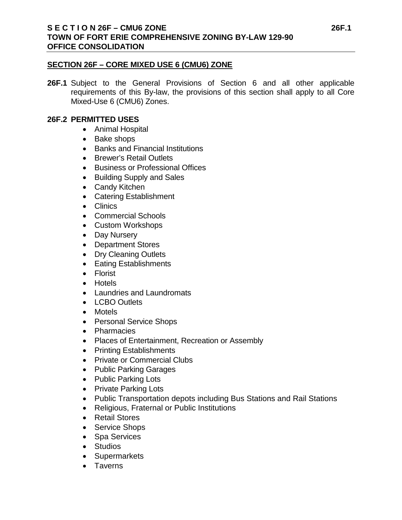### **SECTION 26F – CORE MIXED USE 6 (CMU6) ZONE**

**26F.1** Subject to the General Provisions of Section 6 and all other applicable requirements of this By-law, the provisions of this section shall apply to all Core Mixed-Use 6 (CMU6) Zones.

### **26F.2 PERMITTED USES**

- Animal Hospital
- Bake shops
- Banks and Financial Institutions
- Brewer's Retail Outlets
- Business or Professional Offices
- Building Supply and Sales
- Candy Kitchen
- Catering Establishment
- Clinics
- Commercial Schools
- Custom Workshops
- Day Nursery
- Department Stores
- Dry Cleaning Outlets
- Eating Establishments
- Florist
- Hotels
- Laundries and Laundromats
- LCBO Outlets
- Motels
- Personal Service Shops
- Pharmacies
- Places of Entertainment, Recreation or Assembly
- Printing Establishments
- Private or Commercial Clubs
- Public Parking Garages
- Public Parking Lots
- Private Parking Lots
- Public Transportation depots including Bus Stations and Rail Stations
- Religious, Fraternal or Public Institutions
- Retail Stores
- Service Shops
- Spa Services
- Studios
- Supermarkets
- Taverns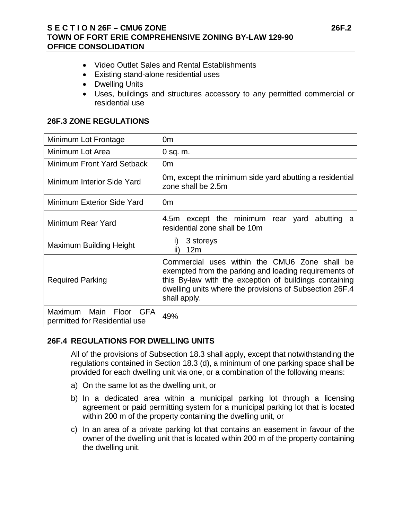- Video Outlet Sales and Rental Establishments
- Existing stand-alone residential uses
- Dwelling Units
- Uses, buildings and structures accessory to any permitted commercial or residential use

### **26F.3 ZONE REGULATIONS**

| Minimum Lot Frontage                                    | 0m                                                                                                                                                                                                                                          |
|---------------------------------------------------------|---------------------------------------------------------------------------------------------------------------------------------------------------------------------------------------------------------------------------------------------|
| Minimum Lot Area                                        | $0$ sq. m.                                                                                                                                                                                                                                  |
| Minimum Front Yard Setback                              | 0 <sub>m</sub>                                                                                                                                                                                                                              |
| Minimum Interior Side Yard                              | Om, except the minimum side yard abutting a residential<br>zone shall be 2.5m                                                                                                                                                               |
| Minimum Exterior Side Yard                              | 0 <sub>m</sub>                                                                                                                                                                                                                              |
| Minimum Rear Yard                                       | 4.5m except the minimum rear yard abutting a<br>residential zone shall be 10m                                                                                                                                                               |
| Maximum Building Height                                 | 3 storeys<br>Ð<br>12 <sub>m</sub><br>II)                                                                                                                                                                                                    |
| <b>Required Parking</b>                                 | Commercial uses within the CMU6 Zone shall be<br>exempted from the parking and loading requirements of<br>this By-law with the exception of buildings containing<br>dwelling units where the provisions of Subsection 26F.4<br>shall apply. |
| Maximum Main Floor GFA<br>permitted for Residential use | 49%                                                                                                                                                                                                                                         |

# **26F.4 REGULATIONS FOR DWELLING UNITS**

All of the provisions of Subsection 18.3 shall apply, except that notwithstanding the regulations contained in Section 18.3 (d), a minimum of one parking space shall be provided for each dwelling unit via one, or a combination of the following means:

- a) On the same lot as the dwelling unit, or
- b) In a dedicated area within a municipal parking lot through a licensing agreement or paid permitting system for a municipal parking lot that is located within 200 m of the property containing the dwelling unit, or
- c) In an area of a private parking lot that contains an easement in favour of the owner of the dwelling unit that is located within 200 m of the property containing the dwelling unit.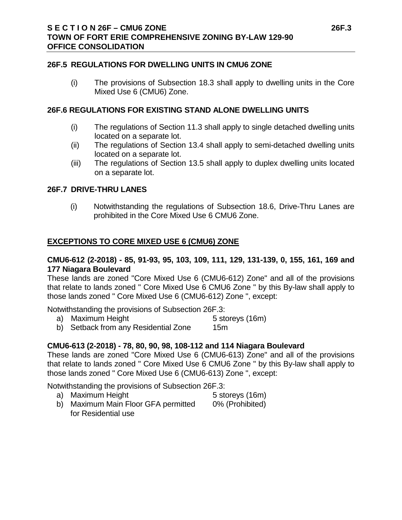#### **26F.5 REGULATIONS FOR DWELLING UNITS IN CMU6 ZONE**

(i) The provisions of Subsection 18.3 shall apply to dwelling units in the Core Mixed Use 6 (CMU6) Zone.

#### **26F.6 REGULATIONS FOR EXISTING STAND ALONE DWELLING UNITS**

- (i) The regulations of Section 11.3 shall apply to single detached dwelling units located on a separate lot.
- (ii) The regulations of Section 13.4 shall apply to semi-detached dwelling units located on a separate lot.
- (iii) The regulations of Section 13.5 shall apply to duplex dwelling units located on a separate lot.

#### **26F.7 DRIVE-THRU LANES**

(i) Notwithstanding the regulations of Subsection 18.6, Drive-Thru Lanes are prohibited in the Core Mixed Use 6 CMU6 Zone.

#### **EXCEPTIONS TO CORE MIXED USE 6 (CMU6) ZONE**

#### **CMU6-612 (2-2018) - 85, 91-93, 95, 103, 109, 111, 129, 131-139, 0, 155, 161, 169 and 177 Niagara Boulevard**

These lands are zoned "Core Mixed Use 6 (CMU6-612) Zone" and all of the provisions that relate to lands zoned " Core Mixed Use 6 CMU6 Zone " by this By-law shall apply to those lands zoned " Core Mixed Use 6 (CMU6-612) Zone ", except:

Notwithstanding the provisions of Subsection 26F.3:

- a) Maximum Height 5 storeys (16m)
- b) Setback from any Residential Zone 15m

# **CMU6-613 (2-2018) - 78, 80, 90, 98, 108-112 and 114 Niagara Boulevard**

These lands are zoned "Core Mixed Use 6 (CMU6-613) Zone" and all of the provisions that relate to lands zoned " Core Mixed Use 6 CMU6 Zone " by this By-law shall apply to those lands zoned " Core Mixed Use 6 (CMU6-613) Zone ", except:

Notwithstanding the provisions of Subsection 26F.3:

- a) Maximum Height 5 storeys (16m)
- 
- b) Maximum Main Floor GFA permitted 0% (Prohibited) for Residential use